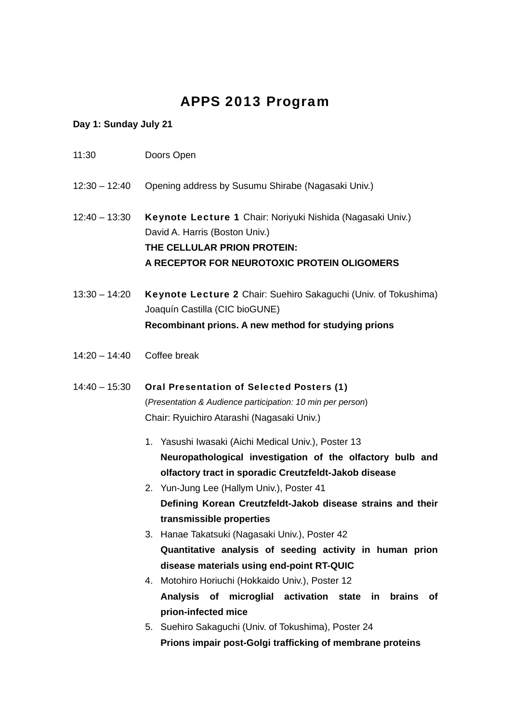# APPS 2013 Program

## **Day 1: Sunday July 21**

| 11:30           | Doors Open                                                                                                                                                                                                                                                                                                                                                          |
|-----------------|---------------------------------------------------------------------------------------------------------------------------------------------------------------------------------------------------------------------------------------------------------------------------------------------------------------------------------------------------------------------|
| $12:30 - 12:40$ | Opening address by Susumu Shirabe (Nagasaki Univ.)                                                                                                                                                                                                                                                                                                                  |
| $12:40 - 13:30$ | Keynote Lecture 1 Chair: Noriyuki Nishida (Nagasaki Univ.)<br>David A. Harris (Boston Univ.)<br>THE CELLULAR PRION PROTEIN:<br>A RECEPTOR FOR NEUROTOXIC PROTEIN OLIGOMERS                                                                                                                                                                                          |
| $13:30 - 14:20$ | Keynote Lecture 2 Chair: Suehiro Sakaguchi (Univ. of Tokushima)<br>Joaquín Castilla (CIC bioGUNE)<br>Recombinant prions. A new method for studying prions                                                                                                                                                                                                           |
| $14:20 - 14:40$ | Coffee break                                                                                                                                                                                                                                                                                                                                                        |
| $14:40 - 15:30$ | <b>Oral Presentation of Selected Posters (1)</b><br>(Presentation & Audience participation: 10 min per person)<br>Chair: Ryuichiro Atarashi (Nagasaki Univ.)                                                                                                                                                                                                        |
|                 | 1. Yasushi Iwasaki (Aichi Medical Univ.), Poster 13<br>Neuropathological investigation of the olfactory bulb and<br>olfactory tract in sporadic Creutzfeldt-Jakob disease<br>2. Yun-Jung Lee (Hallym Univ.), Poster 41<br>Defining Korean Creutzfeldt-Jakob disease strains and their<br>transmissible properties<br>3. Hanae Takatsuki (Nagasaki Univ.), Poster 42 |
|                 | Quantitative analysis of seeding activity in human prion<br>disease materials using end-point RT-QUIC<br>4. Motohiro Horiuchi (Hokkaido Univ.), Poster 12<br>Analysis of microglial activation state in brains<br>of .<br>prion-infected mice<br>5. Suehiro Sakaguchi (Univ. of Tokushima), Poster 24                                                               |
|                 | Prions impair post-Golgi trafficking of membrane proteins                                                                                                                                                                                                                                                                                                           |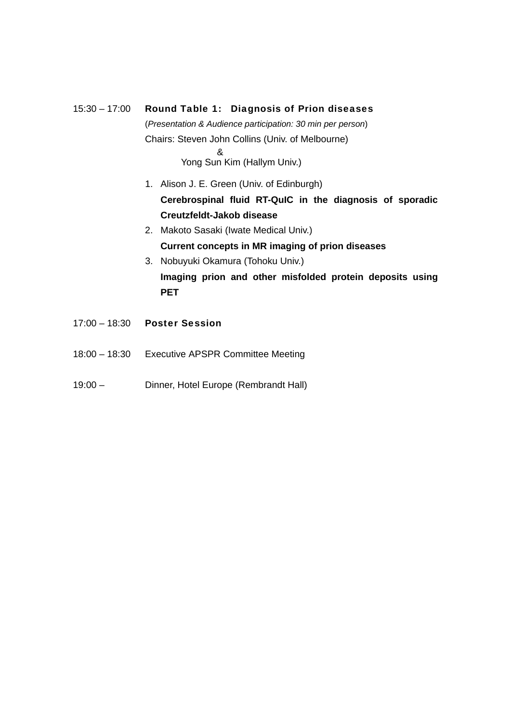# 15:30 – 17:00 Round Table 1: Diagnosis of Prion diseases (*Presentation & Audience participation: 30 min per person*) Chairs: Steven John Collins (Univ. of Melbourne) & Yong Sun Kim (Hallym Univ.) 1. Alison J. E. Green (Univ. of Edinburgh) **Cerebrospinal fluid RT-QuIC in the diagnosis of sporadic Creutzfeldt-Jakob disease**

- 2. Makoto Sasaki (Iwate Medical Univ.) **Current concepts in MR imaging of prion diseases**
- 3. Nobuyuki Okamura (Tohoku Univ.) **Imaging prion and other misfolded protein deposits using PET**
- 17:00 18:30 Poster Session
- 18:00 18:30 Executive APSPR Committee Meeting
- 19:00 Dinner, Hotel Europe (Rembrandt Hall)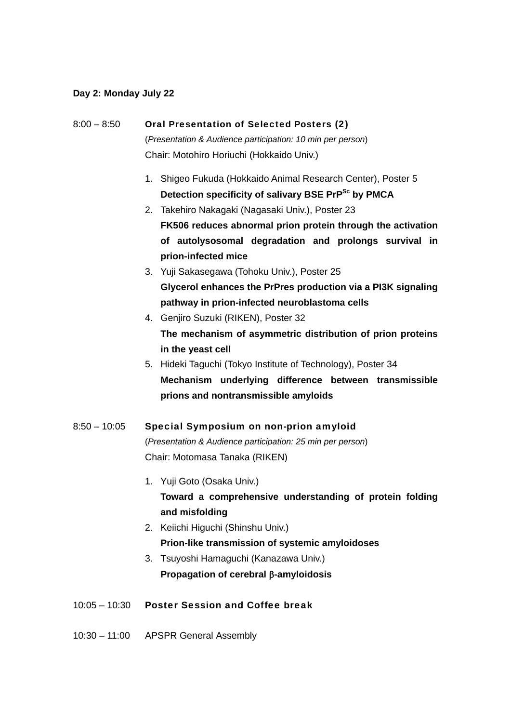#### **Day 2: Monday July 22**

- 8:00 8:50 Oral Presentation of Selected Posters (2) (*Presentation & Audience participation: 10 min per person*) Chair: Motohiro Horiuchi (Hokkaido Univ.) 1. Shigeo Fukuda (Hokkaido Animal Research Center), Poster 5 Detection specificity of salivary BSE PrP<sup>Sc</sup> by PMCA 2. Takehiro Nakagaki (Nagasaki Univ.), Poster 23 **FK506 reduces abnormal prion protein through the activation of autolysosomal degradation and prolongs survival in prion-infected mice**  3. Yuji Sakasegawa (Tohoku Univ.), Poster 25 **Glycerol enhances the PrPres production via a PI3K signaling pathway in prion-infected neuroblastoma cells**  4. Genjiro Suzuki (RIKEN), Poster 32 **The mechanism of asymmetric distribution of prion proteins in the yeast cell**  5. Hideki Taguchi (Tokyo Institute of Technology), Poster 34 **Mechanism underlying difference between transmissible prions and nontransmissible amyloids** 8:50 – 10:05 Special Symposium on non-prion amyloid (*Presentation & Audience participation: 25 min per person*) Chair: Motomasa Tanaka (RIKEN) 1. Yuji Goto (Osaka Univ.) **Toward a comprehensive understanding of protein folding and misfolding**  2. Keiichi Higuchi (Shinshu Univ.) **Prion-like transmission of systemic amyloidoses**  3. Tsuyoshi Hamaguchi (Kanazawa Univ.) **Propagation of cerebral -amyloidosis**
- 10:30 11:00 APSPR General Assembly

10:05 – 10:30 Poster Session and Coffee break